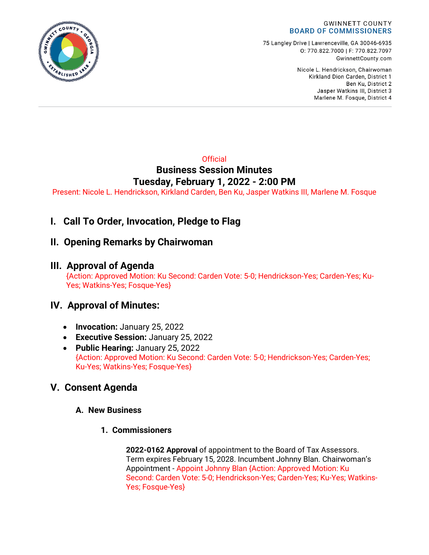

75 Langley Drive | Lawrenceville, GA 30046-6935 0:770.822.7000 | F: 770.822.7097 GwinnettCounty.com

> Nicole L. Hendrickson, Chairwoman Kirkland Dion Carden, District 1 Ben Ku. District 2 Jasper Watkins III, District 3 Marlene M. Fosque, District 4

### **Official Business Session Minutes Tuesday, February 1, 2022 - 2:00 PM**

Present: Nicole L. Hendrickson, Kirkland Carden, Ben Ku, Jasper Watkins III, Marlene M. Fosque

# **I. Call To Order, Invocation, Pledge to Flag**

### **II. Opening Remarks by Chairwoman**

### **III. Approval of Agenda**

{Action: Approved Motion: Ku Second: Carden Vote: 5-0; Hendrickson-Yes; Carden-Yes; Ku-Yes; Watkins-Yes; Fosque-Yes}

# **IV. Approval of Minutes:**

- **Invocation:** January 25, 2022
- **Executive Session:** January 25, 2022
- **Public Hearing:** January 25, 2022 {Action: Approved Motion: Ku Second: Carden Vote: 5-0; Hendrickson-Yes; Carden-Yes; Ku-Yes; Watkins-Yes; Fosque-Yes}

# **V. Consent Agenda**

### **A. New Business**

**1. Commissioners**

**2022-0162 Approval** of appointment to the Board of Tax Assessors. Term expires February 15, 2028. Incumbent Johnny Blan. Chairwoman's Appointment - Appoint Johnny Blan {Action: Approved Motion: Ku Second: Carden Vote: 5-0; Hendrickson-Yes; Carden-Yes; Ku-Yes; Watkins-Yes; Fosque-Yes}

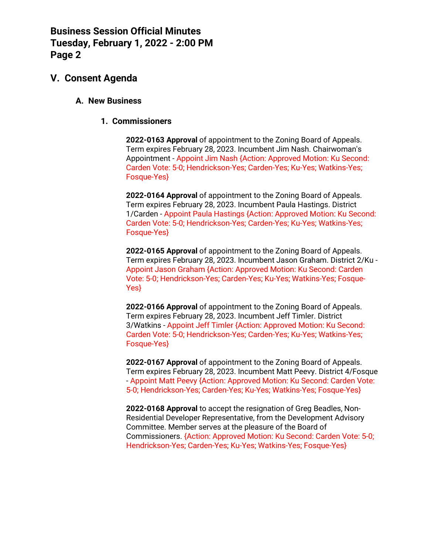### **V. Consent Agenda**

#### **A. New Business**

#### **1. Commissioners**

**2022-0163 Approval** of appointment to the Zoning Board of Appeals. Term expires February 28, 2023. Incumbent Jim Nash. Chairwoman's Appointment - Appoint Jim Nash {Action: Approved Motion: Ku Second: Carden Vote: 5-0; Hendrickson-Yes; Carden-Yes; Ku-Yes; Watkins-Yes; Fosque-Yes}

**2022-0164 Approval** of appointment to the Zoning Board of Appeals. Term expires February 28, 2023. Incumbent Paula Hastings. District 1/Carden - Appoint Paula Hastings {Action: Approved Motion: Ku Second: Carden Vote: 5-0; Hendrickson-Yes; Carden-Yes; Ku-Yes; Watkins-Yes; Fosque-Yes}

**2022-0165 Approval** of appointment to the Zoning Board of Appeals. Term expires February 28, 2023. Incumbent Jason Graham. District 2/Ku - Appoint Jason Graham {Action: Approved Motion: Ku Second: Carden Vote: 5-0; Hendrickson-Yes; Carden-Yes; Ku-Yes; Watkins-Yes; Fosque-Yes}

**2022-0166 Approval** of appointment to the Zoning Board of Appeals. Term expires February 28, 2023. Incumbent Jeff Timler. District 3/Watkins - Appoint Jeff Timler {Action: Approved Motion: Ku Second: Carden Vote: 5-0; Hendrickson-Yes; Carden-Yes; Ku-Yes; Watkins-Yes; Fosque-Yes}

**2022-0167 Approval** of appointment to the Zoning Board of Appeals. Term expires February 28, 2023. Incumbent Matt Peevy. District 4/Fosque - Appoint Matt Peevy {Action: Approved Motion: Ku Second: Carden Vote: 5-0; Hendrickson-Yes; Carden-Yes; Ku-Yes; Watkins-Yes; Fosque-Yes}

**2022-0168 Approval** to accept the resignation of Greg Beadles, Non-Residential Developer Representative, from the Development Advisory Committee. Member serves at the pleasure of the Board of Commissioners. {Action: Approved Motion: Ku Second: Carden Vote: 5-0; Hendrickson-Yes; Carden-Yes; Ku-Yes; Watkins-Yes; Fosque-Yes}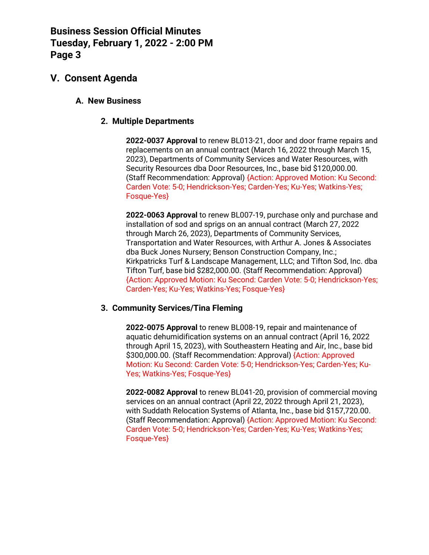## **V. Consent Agenda**

#### **A. New Business**

### **2. Multiple Departments**

**2022-0037 Approval** to renew BL013-21, door and door frame repairs and replacements on an annual contract (March 16, 2022 through March 15, 2023), Departments of Community Services and Water Resources, with Security Resources dba Door Resources, Inc., base bid \$120,000.00. (Staff Recommendation: Approval) {Action: Approved Motion: Ku Second: Carden Vote: 5-0; Hendrickson-Yes; Carden-Yes; Ku-Yes; Watkins-Yes; Fosque-Yes}

**2022-0063 Approval** to renew BL007-19, purchase only and purchase and installation of sod and sprigs on an annual contract (March 27, 2022 through March 26, 2023), Departments of Community Services, Transportation and Water Resources, with Arthur A. Jones & Associates dba Buck Jones Nursery; Benson Construction Company, Inc.; Kirkpatricks Turf & Landscape Management, LLC; and Tifton Sod, Inc. dba Tifton Turf, base bid \$282,000.00. (Staff Recommendation: Approval) {Action: Approved Motion: Ku Second: Carden Vote: 5-0; Hendrickson-Yes; Carden-Yes; Ku-Yes; Watkins-Yes; Fosque-Yes}

#### **3. Community Services/Tina Fleming**

**2022-0075 Approval** to renew BL008-19, repair and maintenance of aquatic dehumidification systems on an annual contract (April 16, 2022 through April 15, 2023), with Southeastern Heating and Air, Inc., base bid \$300,000.00. (Staff Recommendation: Approval) {Action: Approved Motion: Ku Second: Carden Vote: 5-0; Hendrickson-Yes; Carden-Yes; Ku-Yes; Watkins-Yes; Fosque-Yes}

**2022-0082 Approval** to renew BL041-20, provision of commercial moving services on an annual contract (April 22, 2022 through April 21, 2023), with Suddath Relocation Systems of Atlanta, Inc., base bid \$157,720.00. (Staff Recommendation: Approval) {Action: Approved Motion: Ku Second: Carden Vote: 5-0; Hendrickson-Yes; Carden-Yes; Ku-Yes; Watkins-Yes; Fosque-Yes}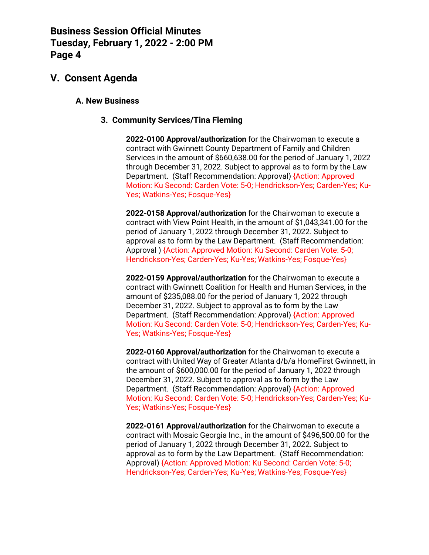### **V. Consent Agenda**

#### **A. New Business**

#### **3. Community Services/Tina Fleming**

**2022-0100 Approval/authorization** for the Chairwoman to execute a contract with Gwinnett County Department of Family and Children Services in the amount of \$660,638.00 for the period of January 1, 2022 through December 31, 2022. Subject to approval as to form by the Law Department. (Staff Recommendation: Approval) {Action: Approved Motion: Ku Second: Carden Vote: 5-0; Hendrickson-Yes; Carden-Yes; Ku-Yes; Watkins-Yes; Fosque-Yes}

**2022-0158 Approval/authorization** for the Chairwoman to execute a contract with View Point Health, in the amount of \$1,043,341.00 for the period of January 1, 2022 through December 31, 2022. Subject to approval as to form by the Law Department. (Staff Recommendation: Approval ) {Action: Approved Motion: Ku Second: Carden Vote: 5-0; Hendrickson-Yes; Carden-Yes; Ku-Yes; Watkins-Yes; Fosque-Yes}

**2022-0159 Approval/authorization** for the Chairwoman to execute a contract with Gwinnett Coalition for Health and Human Services, in the amount of \$235,088.00 for the period of January 1, 2022 through December 31, 2022. Subject to approval as to form by the Law Department. (Staff Recommendation: Approval) {Action: Approved Motion: Ku Second: Carden Vote: 5-0; Hendrickson-Yes; Carden-Yes; Ku-Yes; Watkins-Yes; Fosque-Yes}

**2022-0160 Approval/authorization** for the Chairwoman to execute a contract with United Way of Greater Atlanta d/b/a HomeFirst Gwinnett, in the amount of \$600,000.00 for the period of January 1, 2022 through December 31, 2022. Subject to approval as to form by the Law Department. (Staff Recommendation: Approval) {Action: Approved Motion: Ku Second: Carden Vote: 5-0; Hendrickson-Yes; Carden-Yes; Ku-Yes; Watkins-Yes; Fosque-Yes}

**2022-0161 Approval/authorization** for the Chairwoman to execute a contract with Mosaic Georgia Inc., in the amount of \$496,500.00 for the period of January 1, 2022 through December 31, 2022. Subject to approval as to form by the Law Department. (Staff Recommendation: Approval) {Action: Approved Motion: Ku Second: Carden Vote: 5-0; Hendrickson-Yes; Carden-Yes; Ku-Yes; Watkins-Yes; Fosque-Yes}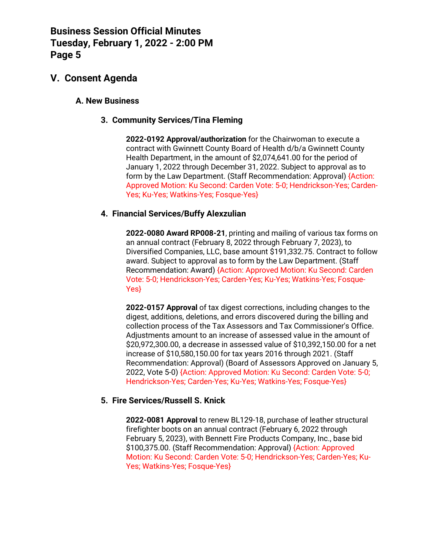### **V. Consent Agenda**

#### **A. New Business**

#### **3. Community Services/Tina Fleming**

**2022-0192 Approval/authorization** for the Chairwoman to execute a contract with Gwinnett County Board of Health d/b/a Gwinnett County Health Department, in the amount of \$2,074,641.00 for the period of January 1, 2022 through December 31, 2022. Subject to approval as to form by the Law Department. (Staff Recommendation: Approval) {Action: Approved Motion: Ku Second: Carden Vote: 5-0; Hendrickson-Yes; Carden-Yes; Ku-Yes; Watkins-Yes; Fosque-Yes}

### **4. Financial Services/Buffy Alexzulian**

**2022-0080 Award RP008-21**, printing and mailing of various tax forms on an annual contract (February 8, 2022 through February 7, 2023), to Diversified Companies, LLC, base amount \$191,332.75. Contract to follow award. Subject to approval as to form by the Law Department. (Staff Recommendation: Award) {Action: Approved Motion: Ku Second: Carden Vote: 5-0; Hendrickson-Yes; Carden-Yes; Ku-Yes; Watkins-Yes; Fosque-Yes}

**2022-0157 Approval** of tax digest corrections, including changes to the digest, additions, deletions, and errors discovered during the billing and collection process of the Tax Assessors and Tax Commissioner's Office. Adjustments amount to an increase of assessed value in the amount of \$20,972,300.00, a decrease in assessed value of \$10,392,150.00 for a net increase of \$10,580,150.00 for tax years 2016 through 2021. (Staff Recommendation: Approval) (Board of Assessors Approved on January 5, 2022, Vote 5-0) {Action: Approved Motion: Ku Second: Carden Vote: 5-0; Hendrickson-Yes; Carden-Yes; Ku-Yes; Watkins-Yes; Fosque-Yes}

#### **5. Fire Services/Russell S. Knick**

**2022-0081 Approval** to renew BL129-18, purchase of leather structural firefighter boots on an annual contract (February 6, 2022 through February 5, 2023), with Bennett Fire Products Company, Inc., base bid \$100,375.00. (Staff Recommendation: Approval) {Action: Approved Motion: Ku Second: Carden Vote: 5-0; Hendrickson-Yes; Carden-Yes; Ku-Yes; Watkins-Yes; Fosque-Yes}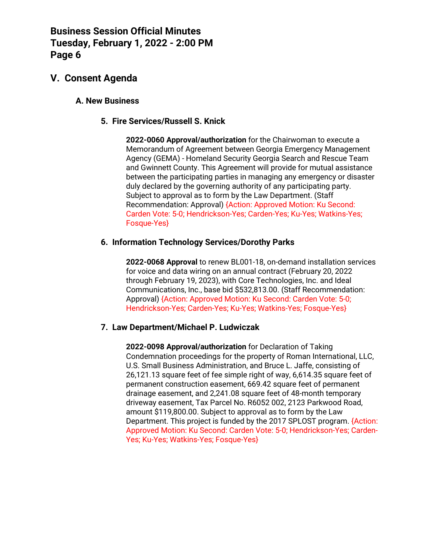## **V. Consent Agenda**

#### **A. New Business**

#### **5. Fire Services/Russell S. Knick**

**2022-0060 Approval/authorization** for the Chairwoman to execute a Memorandum of Agreement between Georgia Emergency Management Agency (GEMA) - Homeland Security Georgia Search and Rescue Team and Gwinnett County. This Agreement will provide for mutual assistance between the participating parties in managing any emergency or disaster duly declared by the governing authority of any participating party. Subject to approval as to form by the Law Department. (Staff Recommendation: Approval) {Action: Approved Motion: Ku Second: Carden Vote: 5-0; Hendrickson-Yes; Carden-Yes; Ku-Yes; Watkins-Yes; Fosque-Yes}

#### **6. Information Technology Services/Dorothy Parks**

**2022-0068 Approval** to renew BL001-18, on-demand installation services for voice and data wiring on an annual contract (February 20, 2022 through February 19, 2023), with Core Technologies, Inc. and Ideal Communications, Inc., base bid \$532,813.00. (Staff Recommendation: Approval) {Action: Approved Motion: Ku Second: Carden Vote: 5-0; Hendrickson-Yes; Carden-Yes; Ku-Yes; Watkins-Yes; Fosque-Yes}

#### **7. Law Department/Michael P. Ludwiczak**

**2022-0098 Approval/authorization** for Declaration of Taking Condemnation proceedings for the property of Roman International, LLC, U.S. Small Business Administration, and Bruce L. Jaffe, consisting of 26,121.13 square feet of fee simple right of way, 6,614.35 square feet of permanent construction easement, 669.42 square feet of permanent drainage easement, and 2,241.08 square feet of 48-month temporary driveway easement, Tax Parcel No. R6052 002, 2123 Parkwood Road, amount \$119,800.00. Subject to approval as to form by the Law Department. This project is funded by the 2017 SPLOST program. {Action: Approved Motion: Ku Second: Carden Vote: 5-0; Hendrickson-Yes; Carden-Yes; Ku-Yes; Watkins-Yes; Fosque-Yes}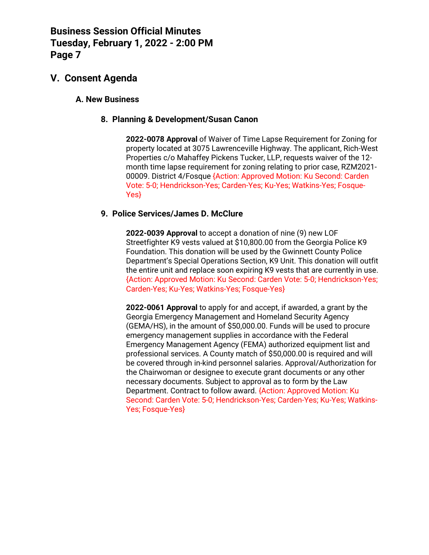### **V. Consent Agenda**

#### **A. New Business**

#### **8. Planning & Development/Susan Canon**

**2022-0078 Approval** of Waiver of Time Lapse Requirement for Zoning for property located at 3075 Lawrenceville Highway. The applicant, Rich-West Properties c/o Mahaffey Pickens Tucker, LLP, requests waiver of the 12 month time lapse requirement for zoning relating to prior case, RZM2021- 00009. District 4/Fosque {Action: Approved Motion: Ku Second: Carden Vote: 5-0; Hendrickson-Yes; Carden-Yes; Ku-Yes; Watkins-Yes; Fosque-Yes}

### **9. Police Services/James D. McClure**

**2022-0039 Approval** to accept a donation of nine (9) new LOF Streetfighter K9 vests valued at \$10,800.00 from the Georgia Police K9 Foundation. This donation will be used by the Gwinnett County Police Department's Special Operations Section, K9 Unit. This donation will outfit the entire unit and replace soon expiring K9 vests that are currently in use. {Action: Approved Motion: Ku Second: Carden Vote: 5-0; Hendrickson-Yes; Carden-Yes; Ku-Yes; Watkins-Yes; Fosque-Yes}

**2022-0061 Approval** to apply for and accept, if awarded, a grant by the Georgia Emergency Management and Homeland Security Agency (GEMA/HS), in the amount of \$50,000.00. Funds will be used to procure emergency management supplies in accordance with the Federal Emergency Management Agency (FEMA) authorized equipment list and professional services. A County match of \$50,000.00 is required and will be covered through in-kind personnel salaries. Approval/Authorization for the Chairwoman or designee to execute grant documents or any other necessary documents. Subject to approval as to form by the Law Department. Contract to follow award. {Action: Approved Motion: Ku Second: Carden Vote: 5-0; Hendrickson-Yes; Carden-Yes; Ku-Yes; Watkins-Yes; Fosque-Yes}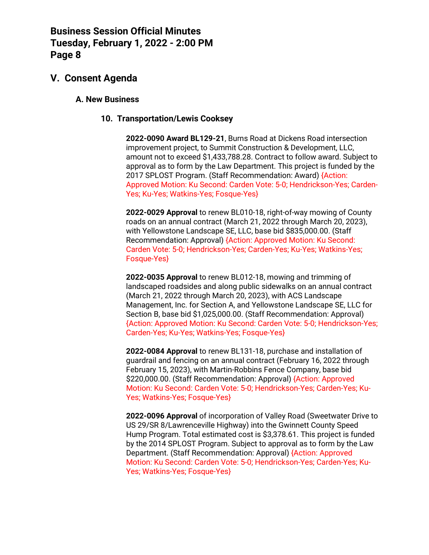### **V. Consent Agenda**

#### **A. New Business**

#### **10. Transportation/Lewis Cooksey**

**2022-0090 Award BL129-21**, Burns Road at Dickens Road intersection improvement project, to Summit Construction & Development, LLC, amount not to exceed \$1,433,788.28. Contract to follow award. Subject to approval as to form by the Law Department. This project is funded by the 2017 SPLOST Program. (Staff Recommendation: Award) {Action: Approved Motion: Ku Second: Carden Vote: 5-0; Hendrickson-Yes; Carden-Yes: Ku-Yes: Watkins-Yes: Fosque-Yes}

**2022-0029 Approval** to renew BL010-18, right-of-way mowing of County roads on an annual contract (March 21, 2022 through March 20, 2023), with Yellowstone Landscape SE, LLC, base bid \$835,000.00. (Staff Recommendation: Approval) {Action: Approved Motion: Ku Second: Carden Vote: 5-0; Hendrickson-Yes; Carden-Yes; Ku-Yes; Watkins-Yes; Fosque-Yes}

**2022-0035 Approval** to renew BL012-18, mowing and trimming of landscaped roadsides and along public sidewalks on an annual contract (March 21, 2022 through March 20, 2023), with ACS Landscape Management, Inc. for Section A, and Yellowstone Landscape SE, LLC for Section B, base bid \$1,025,000.00. (Staff Recommendation: Approval) {Action: Approved Motion: Ku Second: Carden Vote: 5-0; Hendrickson-Yes; Carden-Yes; Ku-Yes; Watkins-Yes; Fosque-Yes}

**2022-0084 Approval** to renew BL131-18, purchase and installation of guardrail and fencing on an annual contract (February 16, 2022 through February 15, 2023), with Martin-Robbins Fence Company, base bid \$220,000.00. (Staff Recommendation: Approval) {Action: Approved Motion: Ku Second: Carden Vote: 5-0; Hendrickson-Yes; Carden-Yes; Ku-Yes; Watkins-Yes; Fosque-Yes}

**2022-0096 Approval** of incorporation of Valley Road (Sweetwater Drive to US 29/SR 8/Lawrenceville Highway) into the Gwinnett County Speed Hump Program. Total estimated cost is \$3,378.61. This project is funded by the 2014 SPLOST Program. Subject to approval as to form by the Law Department. (Staff Recommendation: Approval) {Action: Approved Motion: Ku Second: Carden Vote: 5-0; Hendrickson-Yes; Carden-Yes; Ku-Yes; Watkins-Yes; Fosque-Yes}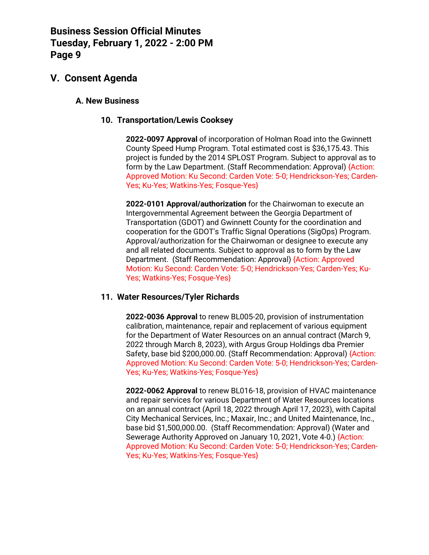### **V. Consent Agenda**

#### **A. New Business**

#### **10. Transportation/Lewis Cooksey**

**2022-0097 Approval** of incorporation of Holman Road into the Gwinnett County Speed Hump Program. Total estimated cost is \$36,175.43. This project is funded by the 2014 SPLOST Program. Subject to approval as to form by the Law Department. (Staff Recommendation: Approval) {Action: Approved Motion: Ku Second: Carden Vote: 5-0; Hendrickson-Yes; Carden-Yes; Ku-Yes; Watkins-Yes; Fosque-Yes}

**2022-0101 Approval/authorization** for the Chairwoman to execute an Intergovernmental Agreement between the Georgia Department of Transportation (GDOT) and Gwinnett County for the coordination and cooperation for the GDOT's Traffic Signal Operations (SigOps) Program. Approval/authorization for the Chairwoman or designee to execute any and all related documents. Subject to approval as to form by the Law Department. (Staff Recommendation: Approval) {Action: Approved Motion: Ku Second: Carden Vote: 5-0; Hendrickson-Yes; Carden-Yes; Ku-Yes; Watkins-Yes; Fosque-Yes}

#### **11. Water Resources/Tyler Richards**

**2022-0036 Approval** to renew BL005-20, provision of instrumentation calibration, maintenance, repair and replacement of various equipment for the Department of Water Resources on an annual contract (March 9, 2022 through March 8, 2023), with Argus Group Holdings dba Premier Safety, base bid \$200,000.00. (Staff Recommendation: Approval) {Action: Approved Motion: Ku Second: Carden Vote: 5-0; Hendrickson-Yes; Carden-Yes; Ku-Yes; Watkins-Yes; Fosque-Yes}

**2022-0062 Approval** to renew BL016-18, provision of HVAC maintenance and repair services for various Department of Water Resources locations on an annual contract (April 18, 2022 through April 17, 2023), with Capital City Mechanical Services, Inc.; Maxair, Inc.; and United Maintenance, Inc., base bid \$1,500,000.00. (Staff Recommendation: Approval) (Water and Sewerage Authority Approved on January 10, 2021, Vote 4-0.) {Action: Approved Motion: Ku Second: Carden Vote: 5-0; Hendrickson-Yes; Carden-Yes; Ku-Yes; Watkins-Yes; Fosque-Yes}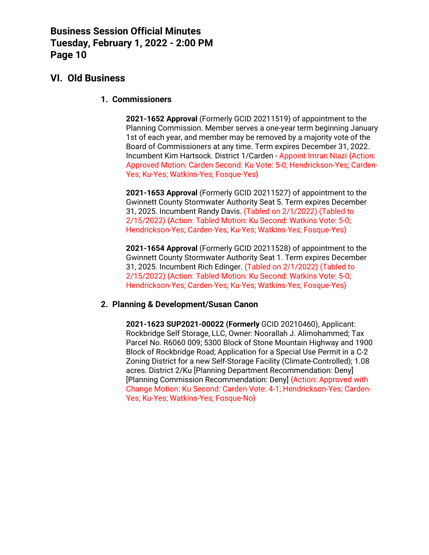### **VI. Old Business**

**1. Commissioners**

**2021-1652 Approval** (Formerly GCID 20211519) of appointment to the Planning Commission. Member serves a one-year term beginning January 1st of each year, and member may be removed by a majority vote of the Board of Commissioners at any time. Term expires December 31, 2022. Incumbent Kim Hartsock. District 1/Carden - Appoint Imran Niazi {Action: Approved Motion: Carden Second: Ku Vote: 5-0; Hendrickson-Yes; Carden-Yes; Ku-Yes; Watkins-Yes; Fosque-Yes}

**2021-1653 Approval** (Formerly GCID 20211527) of appointment to the Gwinnett County Stormwater Authority Seat 5. Term expires December 31, 2025. Incumbent Randy Davis. (Tabled on 2/1/2022) (Tabled to 2/15/2022) {Action: Tabled Motion: Ku Second: Watkins Vote: 5-0; Hendrickson-Yes; Carden-Yes; Ku-Yes; Watkins-Yes; Fosque-Yes}

**2021-1654 Approval** (Formerly GCID 20211528) of appointment to the Gwinnett County Stormwater Authority Seat 1. Term expires December 31, 2025. Incumbent Rich Edinger. (Tabled on 2/1/2022) (Tabled to 2/15/2022) {Action: Tabled Motion: Ku Second: Watkins Vote: 5-0; Hendrickson-Yes; Carden-Yes; Ku-Yes; Watkins-Yes; Fosque-Yes}

#### **2. Planning & Development/Susan Canon**

**2021-1623 SUP2021-00022 (Formerly** GCID 20210460), Applicant: Rockbridge Self Storage, LLC, Owner: Noorallah J. Alimohammed; Tax Parcel No. R6060 009; 5300 Block of Stone Mountain Highway and 1900 Block of Rockbridge Road; Application for a Special Use Permit in a C-2 Zoning District for a new Self-Storage Facility (Climate-Controlled); 1.08 acres. District 2/Ku [Planning Department Recommendation: Deny] [Planning Commission Recommendation: Deny] {Action: Approved with Change Motion: Ku Second: Carden Vote: 4-1; Hendrickson-Yes; Carden-Yes; Ku-Yes; Watkins-Yes; Fosque-No}